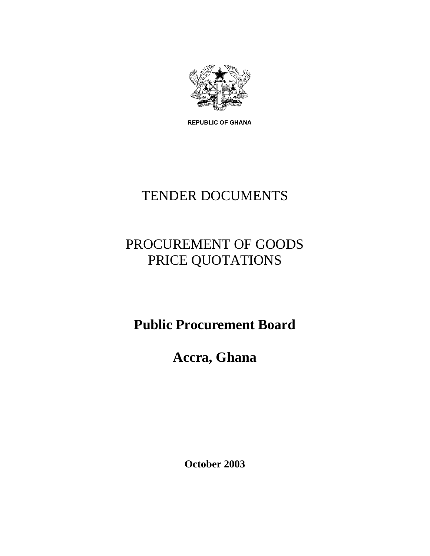

**REPUBLIC OF GHANA** 

# TENDER DOCUMENTS

## PROCUREMENT OF GOODS PRICE QUOTATIONS

**Public Procurement Board**

**Accra, Ghana**

**October 2003**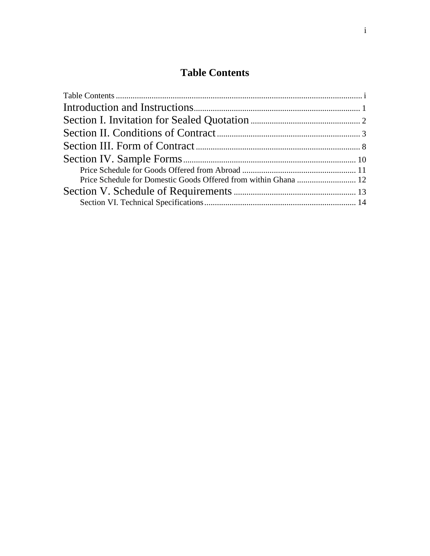### **Table Contents**

<span id="page-1-0"></span>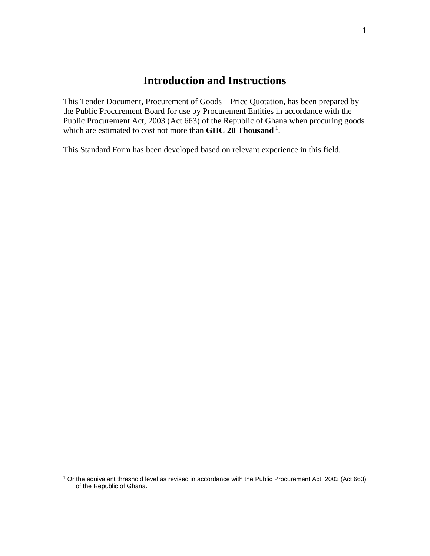### <span id="page-2-0"></span>**[Introduction and Instructions](#page-2-0)**

This Tender Document, Procurement of Goods – Price Quotation, has been prepared by the Public Procurement Board for use by Procurement Entities in accordance with the Public Procurement Act, 2003 (Act 663) of the Republic of Ghana when procuring goods which are estimated to cost not more than **GHC 20 Thousand** <sup>1</sup> .

This Standard Form has been developed based on relevant experience in this field.

 $\overline{a}$ 

<sup>1</sup> Or the equivalent threshold level as revised in accordance with the Public Procurement Act, 2003 (Act 663) of the Republic of Ghana.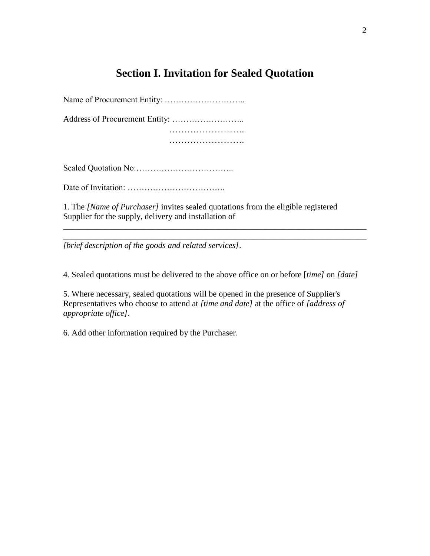### <span id="page-3-0"></span>**[Section I. Invitation for Sealed Quotation](#page-3-0)**

Name of Procurement Entity: ……………………….. Address of Procurement Entity: …………………….. …………………….

…………………….

Sealed Quotation No:……………………………..

Date of Invitation: ……………………………..

1. The *[Name of Purchaser]* invites sealed quotations from the eligible registered Supplier for the supply, delivery and installation of

*[brief description of the goods and related services]*.

4. Sealed quotations must be delivered to the above office on or before [*time]* on *[date]* 

\_\_\_\_\_\_\_\_\_\_\_\_\_\_\_\_\_\_\_\_\_\_\_\_\_\_\_\_\_\_\_\_\_\_\_\_\_\_\_\_\_\_\_\_\_\_\_\_\_\_\_\_\_\_\_\_\_\_\_\_\_\_\_\_\_\_\_\_\_\_\_\_ \_\_\_\_\_\_\_\_\_\_\_\_\_\_\_\_\_\_\_\_\_\_\_\_\_\_\_\_\_\_\_\_\_\_\_\_\_\_\_\_\_\_\_\_\_\_\_\_\_\_\_\_\_\_\_\_\_\_\_\_\_\_\_\_\_\_\_\_\_\_\_\_

5. Where necessary, sealed quotations will be opened in the presence of Supplier's Representatives who choose to attend at *[time and date]* at the office of *[address of appropriate office]*.

6. Add other information required by the Purchaser.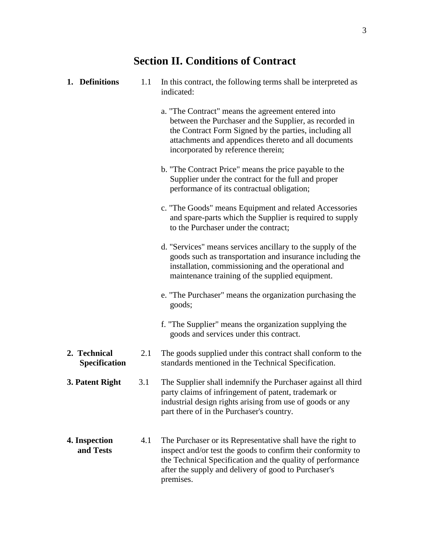## **Section II. Conditions of Contract**

<span id="page-4-0"></span>

| 1. Definitions                       | 1.1 | In this contract, the following terms shall be interpreted as<br>indicated:                                                                                                                                                                                          |  |  |
|--------------------------------------|-----|----------------------------------------------------------------------------------------------------------------------------------------------------------------------------------------------------------------------------------------------------------------------|--|--|
|                                      |     | a. "The Contract" means the agreement entered into<br>between the Purchaser and the Supplier, as recorded in<br>the Contract Form Signed by the parties, including all<br>attachments and appendices thereto and all documents<br>incorporated by reference therein; |  |  |
|                                      |     | b. "The Contract Price" means the price payable to the<br>Supplier under the contract for the full and proper<br>performance of its contractual obligation;                                                                                                          |  |  |
|                                      |     | c. "The Goods" means Equipment and related Accessories<br>and spare-parts which the Supplier is required to supply<br>to the Purchaser under the contract;                                                                                                           |  |  |
|                                      |     | d. "Services" means services ancillary to the supply of the<br>goods such as transportation and insurance including the<br>installation, commissioning and the operational and<br>maintenance training of the supplied equipment.                                    |  |  |
|                                      |     | e. "The Purchaser" means the organization purchasing the<br>goods;                                                                                                                                                                                                   |  |  |
|                                      |     | f. "The Supplier" means the organization supplying the<br>goods and services under this contract.                                                                                                                                                                    |  |  |
| 2. Technical<br><b>Specification</b> | 2.1 | The goods supplied under this contract shall conform to the<br>standards mentioned in the Technical Specification.                                                                                                                                                   |  |  |
| 3. Patent Right                      | 3.1 | The Supplier shall indemnify the Purchaser against all third<br>party claims of infringement of patent, trademark or<br>industrial design rights arising from use of goods or any<br>part there of in the Purchaser's country.                                       |  |  |
| 4. Inspection<br>and Tests           | 4.1 | The Purchaser or its Representative shall have the right to<br>inspect and/or test the goods to confirm their conformity to<br>the Technical Specification and the quality of performance<br>after the supply and delivery of good to Purchaser's<br>premises.       |  |  |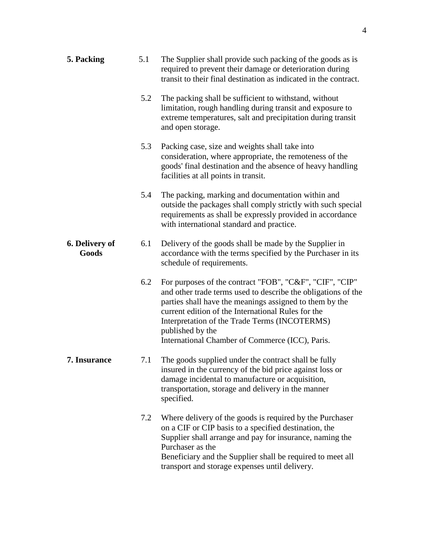| 5. Packing              | 5.1 | The Supplier shall provide such packing of the goods as is<br>required to prevent their damage or deterioration during<br>transit to their final destination as indicated in the contract.                                                                                                                                                                        |
|-------------------------|-----|-------------------------------------------------------------------------------------------------------------------------------------------------------------------------------------------------------------------------------------------------------------------------------------------------------------------------------------------------------------------|
|                         | 5.2 | The packing shall be sufficient to withstand, without<br>limitation, rough handling during transit and exposure to<br>extreme temperatures, salt and precipitation during transit<br>and open storage.                                                                                                                                                            |
|                         | 5.3 | Packing case, size and weights shall take into<br>consideration, where appropriate, the remoteness of the<br>goods' final destination and the absence of heavy handling<br>facilities at all points in transit.                                                                                                                                                   |
|                         | 5.4 | The packing, marking and documentation within and<br>outside the packages shall comply strictly with such special<br>requirements as shall be expressly provided in accordance<br>with international standard and practice.                                                                                                                                       |
| 6. Delivery of<br>Goods | 6.1 | Delivery of the goods shall be made by the Supplier in<br>accordance with the terms specified by the Purchaser in its<br>schedule of requirements.                                                                                                                                                                                                                |
|                         | 6.2 | For purposes of the contract "FOB", "C&F", "CIF", "CIP"<br>and other trade terms used to describe the obligations of the<br>parties shall have the meanings assigned to them by the<br>current edition of the International Rules for the<br>Interpretation of the Trade Terms (INCOTERMS)<br>published by the<br>International Chamber of Commerce (ICC), Paris. |
| 7. Insurance            | 7.1 | The goods supplied under the contract shall be fully<br>insured in the currency of the bid price against loss or<br>damage incidental to manufacture or acquisition,<br>transportation, storage and delivery in the manner<br>specified.                                                                                                                          |
|                         | 7.2 | Where delivery of the goods is required by the Purchaser<br>on a CIF or CIP basis to a specified destination, the<br>Supplier shall arrange and pay for insurance, naming the<br>Purchaser as the<br>Beneficiary and the Supplier shall be required to meet all<br>transport and storage expenses until delivery.                                                 |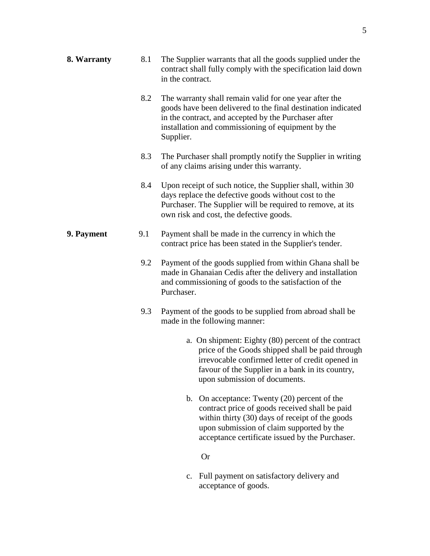| 8. Warranty | 8.1 | The Supplier warrants that all the goods supplied under the<br>contract shall fully comply with the specification laid down<br>in the contract.                                                                                                                  |  |  |  |
|-------------|-----|------------------------------------------------------------------------------------------------------------------------------------------------------------------------------------------------------------------------------------------------------------------|--|--|--|
|             | 8.2 | The warranty shall remain valid for one year after the<br>goods have been delivered to the final destination indicated<br>in the contract, and accepted by the Purchaser after<br>installation and commissioning of equipment by the<br>Supplier.                |  |  |  |
|             | 8.3 | The Purchaser shall promptly notify the Supplier in writing<br>of any claims arising under this warranty.                                                                                                                                                        |  |  |  |
|             | 8.4 | Upon receipt of such notice, the Supplier shall, within 30<br>days replace the defective goods without cost to the<br>Purchaser. The Supplier will be required to remove, at its<br>own risk and cost, the defective goods.                                      |  |  |  |
| 9. Payment  | 9.1 | Payment shall be made in the currency in which the<br>contract price has been stated in the Supplier's tender.                                                                                                                                                   |  |  |  |
|             | 9.2 | Payment of the goods supplied from within Ghana shall be<br>made in Ghanaian Cedis after the delivery and installation<br>and commissioning of goods to the satisfaction of the<br>Purchaser.                                                                    |  |  |  |
|             | 9.3 | Payment of the goods to be supplied from abroad shall be<br>made in the following manner:                                                                                                                                                                        |  |  |  |
|             |     | a. On shipment: Eighty (80) percent of the contract<br>price of the Goods shipped shall be paid through<br>irrevocable confirmed letter of credit opened in<br>favour of the Supplier in a bank in its country,<br>upon submission of documents.                 |  |  |  |
|             |     | On acceptance: Twenty (20) percent of the<br>$\mathbf{b}$ .<br>contract price of goods received shall be paid<br>within thirty (30) days of receipt of the goods<br>upon submission of claim supported by the<br>acceptance certificate issued by the Purchaser. |  |  |  |
|             |     |                                                                                                                                                                                                                                                                  |  |  |  |

Or

c. Full payment on satisfactory delivery and acceptance of goods.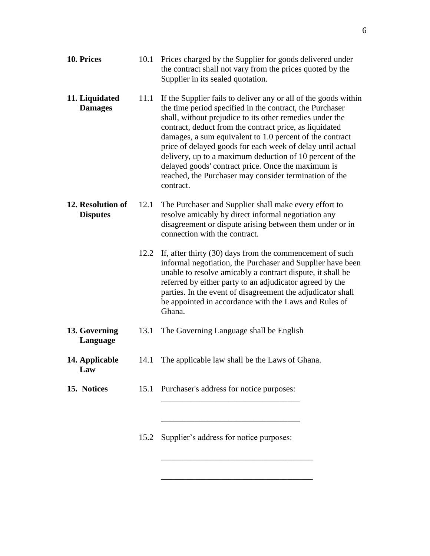| 10. Prices                                   |      | 10.1 Prices charged by the Supplier for goods delivered under<br>the contract shall not vary from the prices quoted by the<br>Supplier in its sealed quotation.                                                                                                                                                                                                                                                                                                                                                                                                       |  |  |  |
|----------------------------------------------|------|-----------------------------------------------------------------------------------------------------------------------------------------------------------------------------------------------------------------------------------------------------------------------------------------------------------------------------------------------------------------------------------------------------------------------------------------------------------------------------------------------------------------------------------------------------------------------|--|--|--|
| 11. Liquidated<br><b>Damages</b>             | 11.1 | If the Supplier fails to deliver any or all of the goods within<br>the time period specified in the contract, the Purchaser<br>shall, without prejudice to its other remedies under the<br>contract, deduct from the contract price, as liquidated<br>damages, a sum equivalent to 1.0 percent of the contract<br>price of delayed goods for each week of delay until actual<br>delivery, up to a maximum deduction of 10 percent of the<br>delayed goods' contract price. Once the maximum is<br>reached, the Purchaser may consider termination of the<br>contract. |  |  |  |
| 12. Resolution of<br>12.1<br><b>Disputes</b> |      | The Purchaser and Supplier shall make every effort to<br>resolve amicably by direct informal negotiation any<br>disagreement or dispute arising between them under or in<br>connection with the contract.                                                                                                                                                                                                                                                                                                                                                             |  |  |  |
|                                              | 12.2 | If, after thirty (30) days from the commencement of such<br>informal negotiation, the Purchaser and Supplier have been<br>unable to resolve amicably a contract dispute, it shall be<br>referred by either party to an adjudicator agreed by the<br>parties. In the event of disagreement the adjudicator shall<br>be appointed in accordance with the Laws and Rules of<br>Ghana.                                                                                                                                                                                    |  |  |  |
| 13. Governing<br>Language                    | 13.1 | The Governing Language shall be English                                                                                                                                                                                                                                                                                                                                                                                                                                                                                                                               |  |  |  |
| 14. Applicable<br>Law                        | 14.1 | The applicable law shall be the Laws of Ghana.                                                                                                                                                                                                                                                                                                                                                                                                                                                                                                                        |  |  |  |
| 15. Notices                                  | 15.1 | Purchaser's address for notice purposes:                                                                                                                                                                                                                                                                                                                                                                                                                                                                                                                              |  |  |  |
|                                              |      | 15.2 Supplier's address for notice purposes:                                                                                                                                                                                                                                                                                                                                                                                                                                                                                                                          |  |  |  |

\_\_\_\_\_\_\_\_\_\_\_\_\_\_\_\_\_\_\_\_\_\_\_\_\_\_\_\_\_\_\_\_\_\_\_\_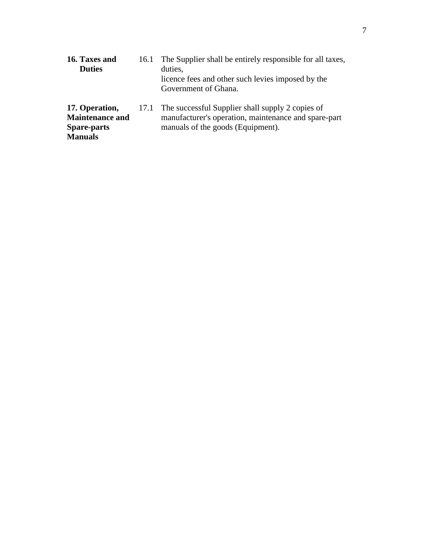| 16. Taxes and<br><b>Duties</b>                                                   | 16.1 The Supplier shall be entirely responsible for all taxes,<br>duties,<br>licence fees and other such levies imposed by the<br>Government of Ghana. |
|----------------------------------------------------------------------------------|--------------------------------------------------------------------------------------------------------------------------------------------------------|
| 17. Operation,<br><b>Maintenance and</b><br><b>Spare-parts</b><br><b>Manuals</b> | 17.1 The successful Supplier shall supply 2 copies of<br>manufacturer's operation, maintenance and spare-part<br>manuals of the goods (Equipment).     |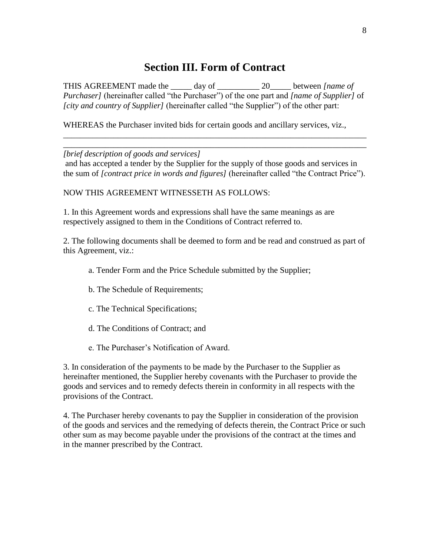#### **Section III. Form of Contract**

<span id="page-9-0"></span>THIS AGREEMENT made the day of  $\qquad 20$  between *[name of Purchaser]* (hereinafter called "the Purchaser") of the one part and *[name of Supplier]* of *fcity and country of Supplier]* (hereinafter called "the Supplier") of the other part:

WHEREAS the Purchaser invited bids for certain goods and ancillary services, viz.,

*[brief description of goods and services]*

and has accepted a tender by the Supplier for the supply of those goods and services in the sum of *[contract price in words and figures]* (hereinafter called "the Contract Price").

\_\_\_\_\_\_\_\_\_\_\_\_\_\_\_\_\_\_\_\_\_\_\_\_\_\_\_\_\_\_\_\_\_\_\_\_\_\_\_\_\_\_\_\_\_\_\_\_\_\_\_\_\_\_\_\_\_\_\_\_\_\_\_\_\_\_\_\_\_\_\_\_ \_\_\_\_\_\_\_\_\_\_\_\_\_\_\_\_\_\_\_\_\_\_\_\_\_\_\_\_\_\_\_\_\_\_\_\_\_\_\_\_\_\_\_\_\_\_\_\_\_\_\_\_\_\_\_\_\_\_\_\_\_\_\_\_\_\_\_\_\_\_\_\_

#### NOW THIS AGREEMENT WITNESSETH AS FOLLOWS:

1. In this Agreement words and expressions shall have the same meanings as are respectively assigned to them in the Conditions of Contract referred to.

2. The following documents shall be deemed to form and be read and construed as part of this Agreement, viz.:

- a. Tender Form and the Price Schedule submitted by the Supplier;
- b. The Schedule of Requirements;
- c. The Technical Specifications;
- d. The Conditions of Contract; and
- e. The Purchaser's Notification of Award.

3. In consideration of the payments to be made by the Purchaser to the Supplier as hereinafter mentioned, the Supplier hereby covenants with the Purchaser to provide the goods and services and to remedy defects therein in conformity in all respects with the provisions of the Contract.

4. The Purchaser hereby covenants to pay the Supplier in consideration of the provision of the goods and services and the remedying of defects therein, the Contract Price or such other sum as may become payable under the provisions of the contract at the times and in the manner prescribed by the Contract.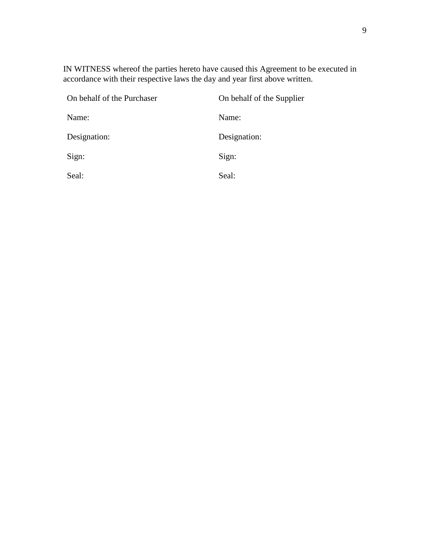IN WITNESS whereof the parties hereto have caused this Agreement to be executed in accordance with their respective laws the day and year first above written.

| On behalf of the Purchaser | On behalf of the Supplier |
|----------------------------|---------------------------|
| Name:                      | Name:                     |
| Designation:               | Designation:              |
| Sign:                      | Sign:                     |
| Seal:                      | Seal:                     |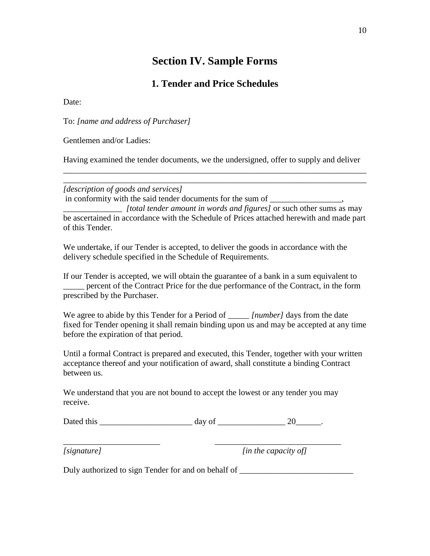#### **Section IV. Sample Forms**

#### **1. Tender and Price Schedules**

<span id="page-11-0"></span>Date:

To: *[name and address of Purchaser]*

Gentlemen and/or Ladies:

Having examined the tender documents, we the undersigned, offer to supply and deliver *\_\_\_\_\_\_\_\_\_\_\_\_\_\_\_\_\_\_\_\_\_\_\_\_\_\_\_\_\_\_\_\_\_\_\_\_\_\_\_\_\_\_\_\_\_\_\_\_\_\_\_\_\_\_\_\_\_\_\_\_\_\_\_\_\_\_\_\_\_\_\_\_*

*\_\_\_\_\_\_\_\_\_\_\_\_\_\_\_\_\_\_\_\_\_\_\_\_\_\_\_\_\_\_\_\_\_\_\_\_\_\_\_\_\_\_\_\_\_\_\_\_\_\_\_\_\_\_\_\_\_\_\_\_\_\_\_\_\_\_\_\_\_\_\_\_*

#### *[description of goods and services]*

in conformity with the said tender documents for the sum of \_\_\_\_\_\_\_\_\_\_\_\_\_\_,

\_\_\_\_\_\_\_\_\_\_\_\_\_\_ *[total tender amount in words and figures]* or such other sums as may be ascertained in accordance with the Schedule of Prices attached herewith and made part of this Tender.

We undertake, if our Tender is accepted, to deliver the goods in accordance with the delivery schedule specified in the Schedule of Requirements.

If our Tender is accepted, we will obtain the guarantee of a bank in a sum equivalent to \_\_\_\_\_ percent of the Contract Price for the due performance of the Contract, in the form prescribed by the Purchaser.

We agree to abide by this Tender for a Period of \_\_\_\_\_ *[number]* days from the date fixed for Tender opening it shall remain binding upon us and may be accepted at any time before the expiration of that period.

Until a formal Contract is prepared and executed, this Tender, together with your written acceptance thereof and your notification of award, shall constitute a binding Contract between us.

We understand that you are not bound to accept the lowest or any tender you may receive.

*\_\_\_\_\_\_\_\_\_\_\_\_\_\_\_\_\_\_\_\_\_\_\_ \_\_\_\_\_\_\_\_\_\_\_\_\_\_\_\_\_\_\_\_\_\_\_\_\_\_\_\_\_\_*

Dated this  $\frac{1}{20}$  day of  $\frac{1}{20}$ .

*[signature] [in the capacity of]*

Duly authorized to sign Tender for and on behalf of \_\_\_\_\_\_\_\_\_\_\_\_\_\_\_\_\_\_\_\_\_\_\_\_\_\_\_\_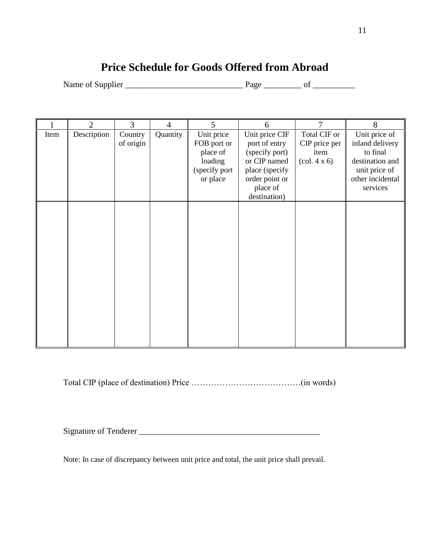### **Price Schedule for Goods Offered from Abroad**

<span id="page-12-0"></span>Name of Supplier \_\_\_\_\_\_\_\_\_\_\_\_\_\_\_\_\_\_\_\_\_\_\_\_\_\_\_\_ Page \_\_\_\_\_\_\_\_\_ of \_\_\_\_\_\_\_\_\_\_

|      | $\overline{2}$ | 3                    | 4        | 5                                                                             | 6                                                                                                                                 | 7                                                                               | 8                                                                                                                |
|------|----------------|----------------------|----------|-------------------------------------------------------------------------------|-----------------------------------------------------------------------------------------------------------------------------------|---------------------------------------------------------------------------------|------------------------------------------------------------------------------------------------------------------|
| Item | Description    | Country<br>of origin | Quantity | Unit price<br>FOB port or<br>place of<br>loading<br>(specify port<br>or place | Unit price CIF<br>port of entry<br>(specify port)<br>or CIP named<br>place (specify<br>order point or<br>place of<br>destination) | Total CIF or<br>CIP price per<br>item<br>$\left(\text{col. } 4 \times 6\right)$ | Unit price of<br>inland delivery<br>to final<br>destination and<br>unit price of<br>other incidental<br>services |
|      |                |                      |          |                                                                               |                                                                                                                                   |                                                                                 |                                                                                                                  |

Total CIP (place of destination) Price …………………………………(in words)

Signature of Tenderer \_\_\_\_\_\_\_\_\_\_\_\_\_\_\_\_\_\_\_\_\_\_\_\_\_\_\_\_\_\_\_\_\_\_\_\_\_\_\_\_\_\_\_

Note: In case of discrepancy between unit price and total, the unit price shall prevail.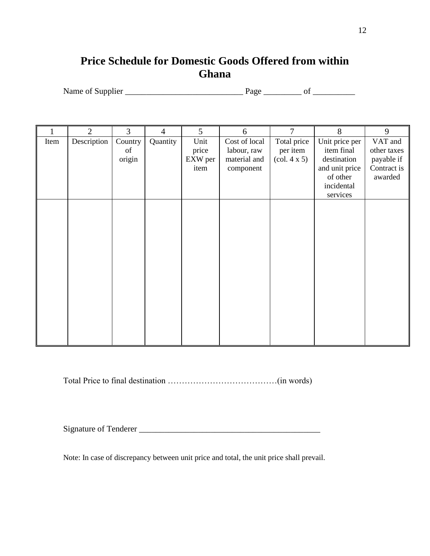#### <span id="page-13-0"></span>**Price Schedule for Domestic Goods Offered from within Ghana**

Name of Supplier \_\_\_\_\_\_\_\_\_\_\_\_\_\_\_\_\_\_\_\_\_\_\_\_\_\_\_\_ Page \_\_\_\_\_\_\_\_\_ of \_\_\_\_\_\_\_\_\_\_

|      | $\overline{2}$ | 3                       | $\overline{4}$ | 5 <sup>5</sup>                   | 6                                                         | 7                                                                 | 8                                                                                                   | 9                                                              |
|------|----------------|-------------------------|----------------|----------------------------------|-----------------------------------------------------------|-------------------------------------------------------------------|-----------------------------------------------------------------------------------------------------|----------------------------------------------------------------|
| Item | Description    | Country<br>of<br>origin | Quantity       | Unit<br>price<br>EXW per<br>item | Cost of local<br>labour, raw<br>material and<br>component | Total price<br>per item<br>$\left(\text{col. } 4 \times 5\right)$ | Unit price per<br>item final<br>destination<br>and unit price<br>of other<br>incidental<br>services | VAT and<br>other taxes<br>payable if<br>Contract is<br>awarded |
|      |                |                         |                |                                  |                                                           |                                                                   |                                                                                                     |                                                                |

Total Price to final destination …………………………………(in words)

Signature of Tenderer \_\_\_\_\_\_\_\_\_\_\_\_\_\_\_\_\_\_\_\_\_\_\_\_\_\_\_\_\_\_\_\_\_\_\_\_\_\_\_\_\_\_\_

Note: In case of discrepancy between unit price and total, the unit price shall prevail.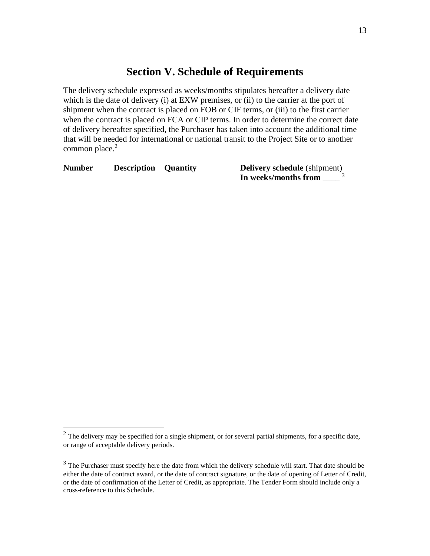#### **Section V. Schedule of Requirements**

<span id="page-14-0"></span>The delivery schedule expressed as weeks/months stipulates hereafter a delivery date which is the date of delivery (i) at EXW premises, or (ii) to the carrier at the port of shipment when the contract is placed on FOB or CIF terms, or (iii) to the first carrier when the contract is placed on FCA or CIP terms. In order to determine the correct date of delivery hereafter specified, the Purchaser has taken into account the additional time that will be needed for international or national transit to the Project Site or to another common place.<sup>2</sup>

**Number Description Quantity Delivery schedule** (shipment)

 $\overline{a}$ 

**In weeks/months from** \_\_\_\_ 3

 $2$  The delivery may be specified for a single shipment, or for several partial shipments, for a specific date, or range of acceptable delivery periods.

<sup>&</sup>lt;sup>3</sup> The Purchaser must specify here the date from which the delivery schedule will start. That date should be either the date of contract award, or the date of contract signature, or the date of opening of Letter of Credit, or the date of confirmation of the Letter of Credit, as appropriate. The Tender Form should include only a cross-reference to this Schedule.